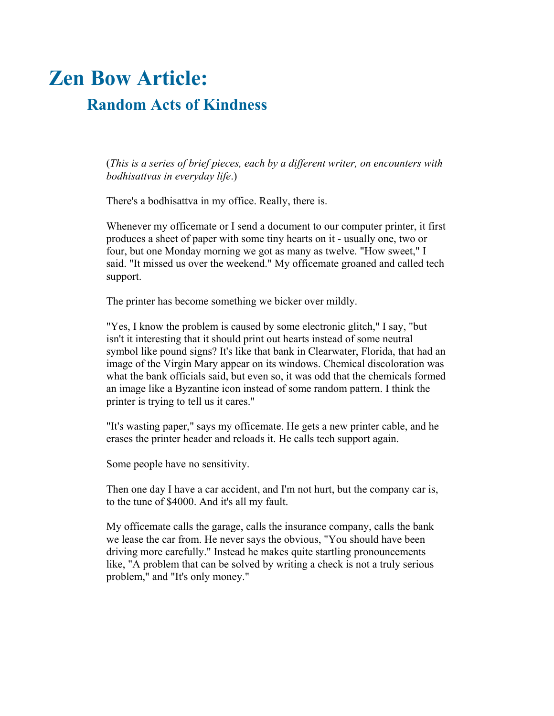## **Zen Bow Article: Random Acts of Kindness**

(*This is a series of brief pieces, each by a different writer, on encounters with bodhisattvas in everyday life*.)

There's a bodhisattva in my office. Really, there is.

Whenever my officemate or I send a document to our computer printer, it first produces a sheet of paper with some tiny hearts on it - usually one, two or four, but one Monday morning we got as many as twelve. "How sweet," I said. "It missed us over the weekend." My officemate groaned and called tech support.

The printer has become something we bicker over mildly.

"Yes, I know the problem is caused by some electronic glitch," I say, "but isn't it interesting that it should print out hearts instead of some neutral symbol like pound signs? It's like that bank in Clearwater, Florida, that had an image of the Virgin Mary appear on its windows. Chemical discoloration was what the bank officials said, but even so, it was odd that the chemicals formed an image like a Byzantine icon instead of some random pattern. I think the printer is trying to tell us it cares."

"It's wasting paper," says my officemate. He gets a new printer cable, and he erases the printer header and reloads it. He calls tech support again.

Some people have no sensitivity.

Then one day I have a car accident, and I'm not hurt, but the company car is, to the tune of \$4000. And it's all my fault.

My officemate calls the garage, calls the insurance company, calls the bank we lease the car from. He never says the obvious, "You should have been driving more carefully." Instead he makes quite startling pronouncements like, "A problem that can be solved by writing a check is not a truly serious problem," and "It's only money."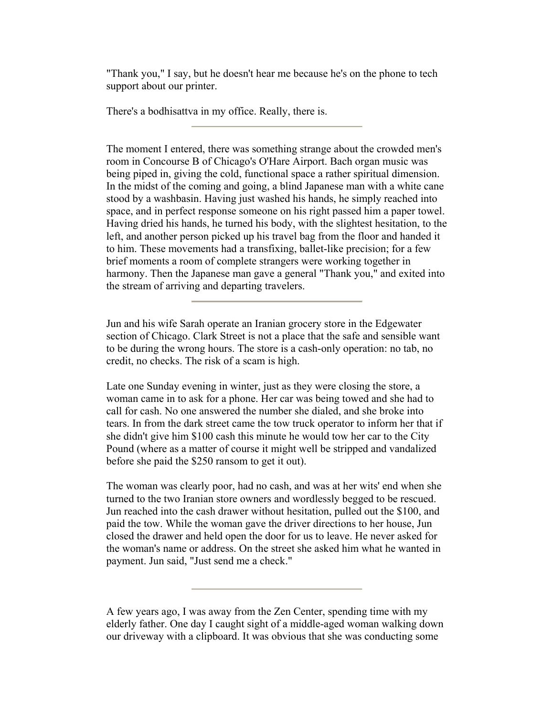"Thank you," I say, but he doesn't hear me because he's on the phone to tech support about our printer.

There's a bodhisattva in my office. Really, there is.

The moment I entered, there was something strange about the crowded men's room in Concourse B of Chicago's O'Hare Airport. Bach organ music was being piped in, giving the cold, functional space a rather spiritual dimension. In the midst of the coming and going, a blind Japanese man with a white cane stood by a washbasin. Having just washed his hands, he simply reached into space, and in perfect response someone on his right passed him a paper towel. Having dried his hands, he turned his body, with the slightest hesitation, to the left, and another person picked up his travel bag from the floor and handed it to him. These movements had a transfixing, ballet-like precision; for a few brief moments a room of complete strangers were working together in harmony. Then the Japanese man gave a general "Thank you," and exited into the stream of arriving and departing travelers.

Jun and his wife Sarah operate an Iranian grocery store in the Edgewater section of Chicago. Clark Street is not a place that the safe and sensible want to be during the wrong hours. The store is a cash-only operation: no tab, no credit, no checks. The risk of a scam is high.

Late one Sunday evening in winter, just as they were closing the store, a woman came in to ask for a phone. Her car was being towed and she had to call for cash. No one answered the number she dialed, and she broke into tears. In from the dark street came the tow truck operator to inform her that if she didn't give him \$100 cash this minute he would tow her car to the City Pound (where as a matter of course it might well be stripped and vandalized before she paid the \$250 ransom to get it out).

The woman was clearly poor, had no cash, and was at her wits' end when she turned to the two Iranian store owners and wordlessly begged to be rescued. Jun reached into the cash drawer without hesitation, pulled out the \$100, and paid the tow. While the woman gave the driver directions to her house, Jun closed the drawer and held open the door for us to leave. He never asked for the woman's name or address. On the street she asked him what he wanted in payment. Jun said, "Just send me a check."

A few years ago, I was away from the Zen Center, spending time with my elderly father. One day I caught sight of a middle-aged woman walking down our driveway with a clipboard. It was obvious that she was conducting some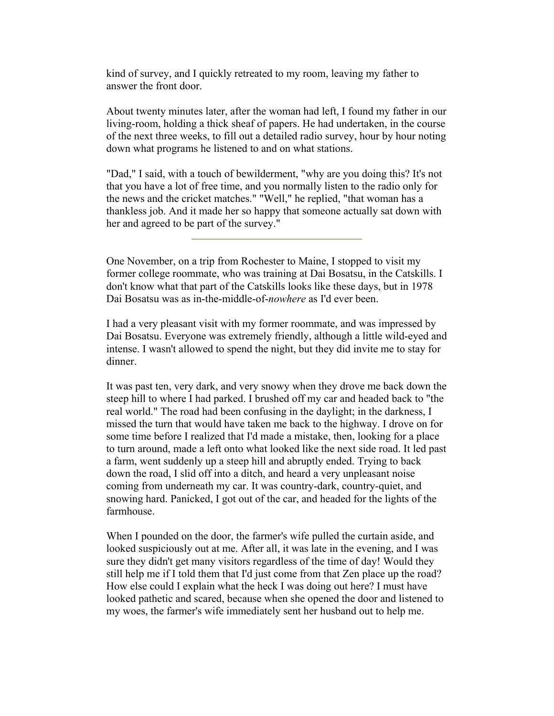kind of survey, and I quickly retreated to my room, leaving my father to answer the front door.

About twenty minutes later, after the woman had left, I found my father in our living-room, holding a thick sheaf of papers. He had undertaken, in the course of the next three weeks, to fill out a detailed radio survey, hour by hour noting down what programs he listened to and on what stations.

"Dad," I said, with a touch of bewilderment, "why are you doing this? It's not that you have a lot of free time, and you normally listen to the radio only for the news and the cricket matches." "Well," he replied, "that woman has a thankless job. And it made her so happy that someone actually sat down with her and agreed to be part of the survey."

One November, on a trip from Rochester to Maine, I stopped to visit my former college roommate, who was training at Dai Bosatsu, in the Catskills. I don't know what that part of the Catskills looks like these days, but in 1978 Dai Bosatsu was as in-the-middle-of-*nowhere* as I'd ever been.

I had a very pleasant visit with my former roommate, and was impressed by Dai Bosatsu. Everyone was extremely friendly, although a little wild-eyed and intense. I wasn't allowed to spend the night, but they did invite me to stay for dinner.

It was past ten, very dark, and very snowy when they drove me back down the steep hill to where I had parked. I brushed off my car and headed back to "the real world." The road had been confusing in the daylight; in the darkness, I missed the turn that would have taken me back to the highway. I drove on for some time before I realized that I'd made a mistake, then, looking for a place to turn around, made a left onto what looked like the next side road. It led past a farm, went suddenly up a steep hill and abruptly ended. Trying to back down the road, I slid off into a ditch, and heard a very unpleasant noise coming from underneath my car. It was country-dark, country-quiet, and snowing hard. Panicked, I got out of the car, and headed for the lights of the farmhouse.

When I pounded on the door, the farmer's wife pulled the curtain aside, and looked suspiciously out at me. After all, it was late in the evening, and I was sure they didn't get many visitors regardless of the time of day! Would they still help me if I told them that I'd just come from that Zen place up the road? How else could I explain what the heck I was doing out here? I must have looked pathetic and scared, because when she opened the door and listened to my woes, the farmer's wife immediately sent her husband out to help me.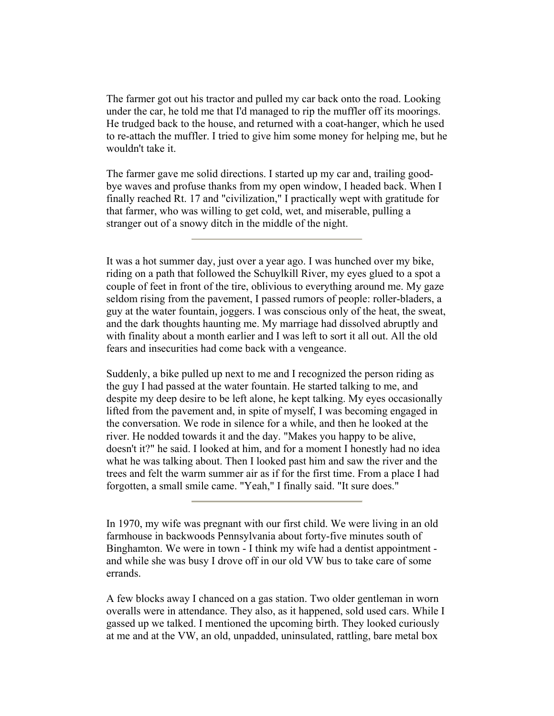The farmer got out his tractor and pulled my car back onto the road. Looking under the car, he told me that I'd managed to rip the muffler off its moorings. He trudged back to the house, and returned with a coat-hanger, which he used to re-attach the muffler. I tried to give him some money for helping me, but he wouldn't take it.

The farmer gave me solid directions. I started up my car and, trailing goodbye waves and profuse thanks from my open window, I headed back. When I finally reached Rt. 17 and "civilization," I practically wept with gratitude for that farmer, who was willing to get cold, wet, and miserable, pulling a stranger out of a snowy ditch in the middle of the night.

It was a hot summer day, just over a year ago. I was hunched over my bike, riding on a path that followed the Schuylkill River, my eyes glued to a spot a couple of feet in front of the tire, oblivious to everything around me. My gaze seldom rising from the pavement, I passed rumors of people: roller-bladers, a guy at the water fountain, joggers. I was conscious only of the heat, the sweat, and the dark thoughts haunting me. My marriage had dissolved abruptly and with finality about a month earlier and I was left to sort it all out. All the old fears and insecurities had come back with a vengeance.

Suddenly, a bike pulled up next to me and I recognized the person riding as the guy I had passed at the water fountain. He started talking to me, and despite my deep desire to be left alone, he kept talking. My eyes occasionally lifted from the pavement and, in spite of myself, I was becoming engaged in the conversation. We rode in silence for a while, and then he looked at the river. He nodded towards it and the day. "Makes you happy to be alive, doesn't it?" he said. I looked at him, and for a moment I honestly had no idea what he was talking about. Then I looked past him and saw the river and the trees and felt the warm summer air as if for the first time. From a place I had forgotten, a small smile came. "Yeah," I finally said. "It sure does."

A few blocks away I chanced on a gas station. Two older gentleman in worn overalls were in attendance. They also, as it happened, sold used cars. While I gassed up we talked. I mentioned the upcoming birth. They looked curiously at me and at the VW, an old, unpadded, uninsulated, rattling, bare metal box

In 1970, my wife was pregnant with our first child. We were living in an old farmhouse in backwoods Pennsylvania about forty-five minutes south of Binghamton. We were in town - I think my wife had a dentist appointment and while she was busy I drove off in our old VW bus to take care of some errands.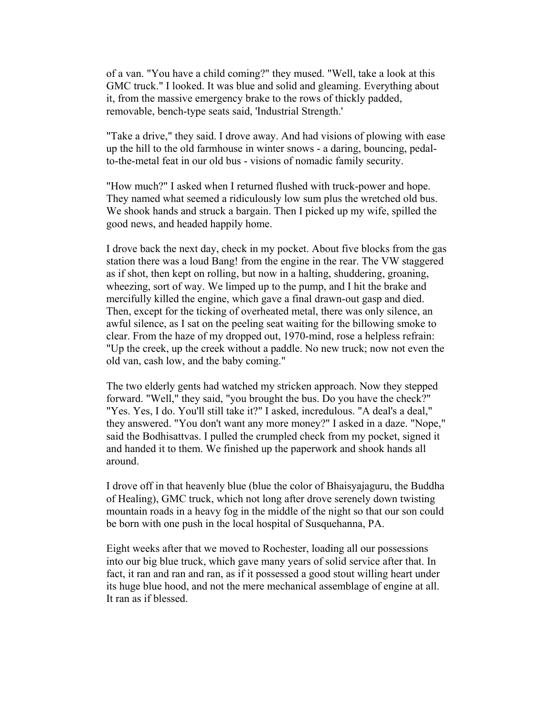of a van. "You have a child coming?" they mused. "Well, take a look at this GMC truck." I looked. It was blue and solid and gleaming. Everything about it, from the massive emergency brake to the rows of thickly padded, removable, bench-type seats said, 'Industrial Strength.'

"Take a drive," they said. I drove away. And had visions of plowing with ease up the hill to the old farmhouse in winter snows - a daring, bouncing, pedalto-the-metal feat in our old bus - visions of nomadic family security.

"How much?" I asked when I returned flushed with truck-power and hope. They named what seemed a ridiculously low sum plus the wretched old bus. We shook hands and struck a bargain. Then I picked up my wife, spilled the good news, and headed happily home.

I drove back the next day, check in my pocket. About five blocks from the gas station there was a loud Bang! from the engine in the rear. The VW staggered as if shot, then kept on rolling, but now in a halting, shuddering, groaning, wheezing, sort of way. We limped up to the pump, and I hit the brake and mercifully killed the engine, which gave a final drawn-out gasp and died. Then, except for the ticking of overheated metal, there was only silence, an awful silence, as I sat on the peeling seat waiting for the billowing smoke to clear. From the haze of my dropped out, 1970-mind, rose a helpless refrain: "Up the creek, up the creek without a paddle. No new truck; now not even the old van, cash low, and the baby coming."

The two elderly gents had watched my stricken approach. Now they stepped forward. "Well," they said, "you brought the bus. Do you have the check?" "Yes. Yes, I do. You'll still take it?" I asked, incredulous. "A deal's a deal," they answered. "You don't want any more money?" I asked in a daze. "Nope," said the Bodhisattvas. I pulled the crumpled check from my pocket, signed it and handed it to them. We finished up the paperwork and shook hands all around.

I drove off in that heavenly blue (blue the color of Bhaisyajaguru, the Buddha of Healing), GMC truck, which not long after drove serenely down twisting mountain roads in a heavy fog in the middle of the night so that our son could be born with one push in the local hospital of Susquehanna, PA.

Eight weeks after that we moved to Rochester, loading all our possessions into our big blue truck, which gave many years of solid service after that. In fact, it ran and ran and ran, as if it possessed a good stout willing heart under its huge blue hood, and not the mere mechanical assemblage of engine at all. It ran as if blessed.